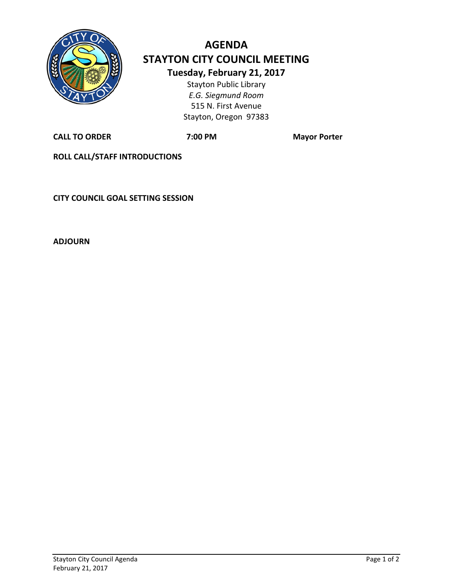

## **AGENDA STAYTON CITY COUNCIL MEETING Tuesday, February 21, 2017** Stayton Public Library

*E.G. Siegmund Room* 515 N. First Avenue Stayton, Oregon 97383

**CALL TO ORDER 7:00 PM Mayor Porter**

**ROLL CALL/STAFF INTRODUCTIONS**

**CITY COUNCIL GOAL SETTING SESSION**

**ADJOURN**